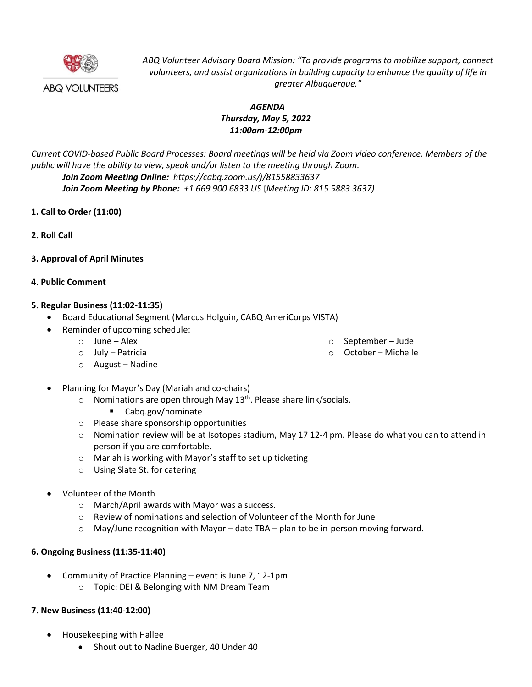

*ABQ Volunteer Advisory Board Mission: "To provide programs to mobilize support, connect volunteers, and assist organizations in building capacity to enhance the quality of life in greater Albuquerque."*

## *AGENDA Thursday, May 5, 2022 11:00am-12:00pm*

*Current COVID-based Public Board Processes: Board meetings will be held via Zoom video conference. Members of the public will have the ability to view, speak and/or listen to the meeting through Zoom. Join Zoom Meeting Online: https://cabq.zoom.us/j/81558833637 Join Zoom Meeting by Phone: +1 669 900 6833 US* **(***Meeting ID: 815 5883 3637)*

- **1. Call to Order (11:00)**
- **2. Roll Call**
- **3. Approval of April Minutes**

### **4. Public Comment**

### **5. Regular Business (11:02-11:35)**

- Board Educational Segment (Marcus Holguin, CABQ AmeriCorps VISTA)
- Reminder of upcoming schedule:
	- o June Alex o July – Patricia
- o September Jude
- o October Michelle

- o August Nadine
- Planning for Mayor's Day (Mariah and co-chairs)
	- $\circ$  Nominations are open through May 13<sup>th</sup>. Please share link/socials.
		- Cabq.gov/nominate
	- o Please share sponsorship opportunities
	- $\circ$  Nomination review will be at Isotopes stadium, May 17 12-4 pm. Please do what you can to attend in person if you are comfortable.
	- o Mariah is working with Mayor's staff to set up ticketing
	- o Using Slate St. for catering
- Volunteer of the Month
	- o March/April awards with Mayor was a success.
	- o Review of nominations and selection of Volunteer of the Month for June
	- $\circ$  May/June recognition with Mayor date TBA plan to be in-person moving forward.

### **6. Ongoing Business (11:35-11:40)**

- Community of Practice Planning event is June 7, 12-1pm
	- o Topic: DEI & Belonging with NM Dream Team

# **7. New Business (11:40-12:00)**

- Housekeeping with Hallee
	- Shout out to Nadine Buerger, 40 Under 40